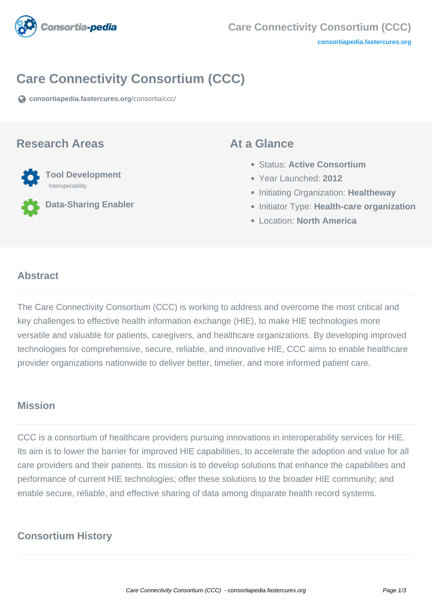

# **Care Connectivity Consortium (CCC)**

**[consortiapedia.fastercures.org](https://consortiapedia.fastercures.org/consortia/ccc/)**[/consortia/ccc/](https://consortiapedia.fastercures.org/consortia/ccc/)

### **Research Areas**



**Data-Sharing Enabler**

### **At a Glance**

- Status: **Active Consortium**
- Year Launched: **2012**
- **Initiating Organization: Healtheway**
- **Initiator Type: Health-care organization**
- Location: **North America**

#### $\overline{a}$ **Abstract**

The Care Connectivity Consortium (CCC) is working to address and overcome the most critical and key challenges to effective health information exchange (HIE), to make HIE technologies more versatile and valuable for patients, caregivers, and healthcare organizations. By developing improved technologies for comprehensive, secure, reliable, and innovative HIE, CCC aims to enable healthcare provider organizations nationwide to deliver better, timelier, and more informed patient care.

## **Mission**

CCC is a consortium of healthcare providers pursuing innovations in interoperability services for HIE. Its aim is to lower the barrier for improved HIE capabilities, to accelerate the adoption and value for all care providers and their patients. Its mission is to develop solutions that enhance the capabilities and performance of current HIE technologies; offer these solutions to the broader HIE community; and enable secure, reliable, and effective sharing of data among disparate health record systems.

# **Consortium History**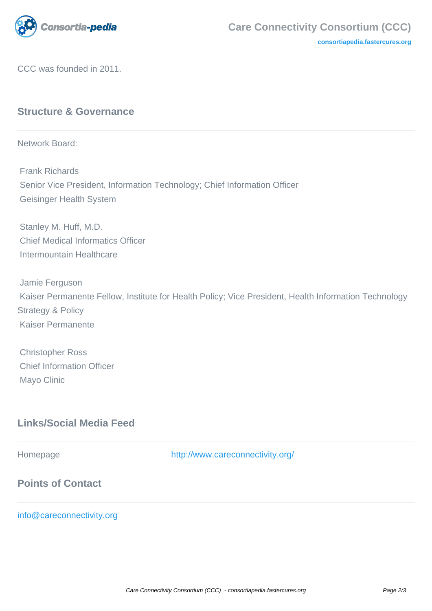

**[consortiapedia.fastercures.org](http://consortiapedia.fastercures.org/)**

CCC was founded in 2011.

## **Structure & Governance**

Network Board:

 Frank Richards Senior Vice President, Information Technology; Chief Information Officer Geisinger Health System

 Stanley M. Huff, M.D. Chief Medical Informatics Officer Intermountain Healthcare

 Jamie Ferguson Kaiser Permanente Fellow, Institute for Health Policy; Vice President, Health Information Technology Strategy & Policy Kaiser Permanente

 Christopher Ross Chief Information Officer Mayo Clinic

# **Links/Social Media Feed**

Homepage <http://www.careconnectivity.org/> **Points of Contact**

[info@careconnectivity.org](mailto:info@careconnectivity.org)